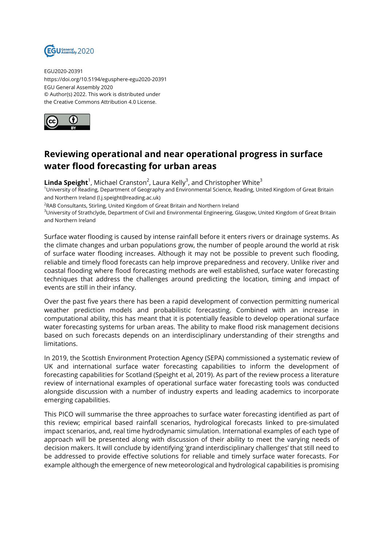

EGU2020-20391 https://doi.org/10.5194/egusphere-egu2020-20391 EGU General Assembly 2020 © Author(s) 2022. This work is distributed under the Creative Commons Attribution 4.0 License.



## **Reviewing operational and near operational progress in surface water flood forecasting for urban areas**

 $\mathsf{Linda \: Speight}^1$ , Michael Cranston<sup>2</sup>, Laura Kelly<sup>3</sup>, and Christopher White<sup>3</sup>

<sup>1</sup>University of Reading, Department of Geography and Environmental Science, Reading, United Kingdom of Great Britain and Northern Ireland (l.j.speight@reading.ac.uk)

 $^{2}$ RAB Consultants, Stirling, United Kingdom of Great Britain and Northern Ireland

<sup>3</sup>University of Strathclyde, Department of Civil and Environmental Engineering, Glasgow, United Kingdom of Great Britain and Northern Ireland

Surface water flooding is caused by intense rainfall before it enters rivers or drainage systems. As the climate changes and urban populations grow, the number of people around the world at risk of surface water flooding increases. Although it may not be possible to prevent such flooding, reliable and timely flood forecasts can help improve preparedness and recovery. Unlike river and coastal flooding where flood forecasting methods are well established, surface water forecasting techniques that address the challenges around predicting the location, timing and impact of events are still in their infancy.

Over the past five years there has been a rapid development of convection permitting numerical weather prediction models and probabilistic forecasting. Combined with an increase in computational ability, this has meant that it is potentially feasible to develop operational surface water forecasting systems for urban areas. The ability to make flood risk management decisions based on such forecasts depends on an interdisciplinary understanding of their strengths and limitations.

In 2019, the Scottish Environment Protection Agency (SEPA) commissioned a systematic review of UK and international surface water forecasting capabilities to inform the development of forecasting capabilities for Scotland (Speight et al, 2019). As part of the review process a literature review of international examples of operational surface water forecasting tools was conducted alongside discussion with a number of industry experts and leading academics to incorporate emerging capabilities.

This PICO will summarise the three approaches to surface water forecasting identified as part of this review; empirical based rainfall scenarios, hydrological forecasts linked to pre-simulated impact scenarios, and, real time hydrodynamic simulation. International examples of each type of approach will be presented along with discussion of their ability to meet the varying needs of decision makers. It will conclude by identifying 'grand interdisciplinary challenges' that still need to be addressed to provide effective solutions for reliable and timely surface water forecasts. For example although the emergence of new meteorological and hydrological capabilities is promising